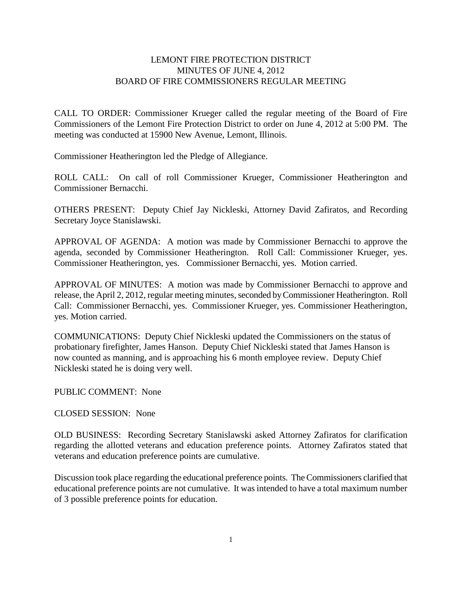## LEMONT FIRE PROTECTION DISTRICT MINUTES OF JUNE 4, 2012 BOARD OF FIRE COMMISSIONERS REGULAR MEETING

CALL TO ORDER: Commissioner Krueger called the regular meeting of the Board of Fire Commissioners of the Lemont Fire Protection District to order on June 4, 2012 at 5:00 PM. The meeting was conducted at 15900 New Avenue, Lemont, Illinois.

Commissioner Heatherington led the Pledge of Allegiance.

ROLL CALL: On call of roll Commissioner Krueger, Commissioner Heatherington and Commissioner Bernacchi.

OTHERS PRESENT: Deputy Chief Jay Nickleski, Attorney David Zafiratos, and Recording Secretary Joyce Stanislawski.

APPROVAL OF AGENDA: A motion was made by Commissioner Bernacchi to approve the agenda, seconded by Commissioner Heatherington. Roll Call: Commissioner Krueger, yes. Commissioner Heatherington, yes. Commissioner Bernacchi, yes. Motion carried.

APPROVAL OF MINUTES: A motion was made by Commissioner Bernacchi to approve and release, the April 2, 2012, regular meeting minutes, seconded by Commissioner Heatherington. Roll Call: Commissioner Bernacchi, yes. Commissioner Krueger, yes. Commissioner Heatherington, yes. Motion carried.

COMMUNICATIONS: Deputy Chief Nickleski updated the Commissioners on the status of probationary firefighter, James Hanson. Deputy Chief Nickleski stated that James Hanson is now counted as manning, and is approaching his 6 month employee review. Deputy Chief Nickleski stated he is doing very well.

PUBLIC COMMENT: None

CLOSED SESSION: None

OLD BUSINESS: Recording Secretary Stanislawski asked Attorney Zafiratos for clarification regarding the allotted veterans and education preference points. Attorney Zafiratos stated that veterans and education preference points are cumulative.

Discussion took place regarding the educational preference points. The Commissioners clarified that educational preference points are not cumulative. It was intended to have a total maximum number of 3 possible preference points for education.